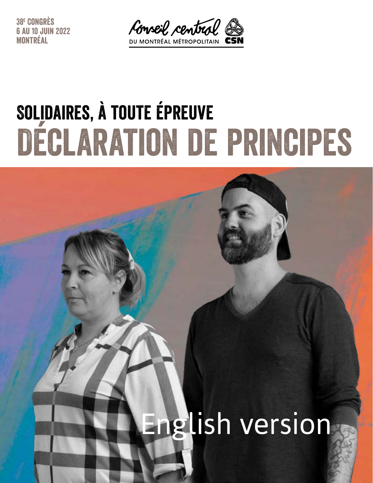38e Congrès 6 au 10 juin 2022 Montréal



# Solidaires, à toute épreuve Déclaration de principes

# English version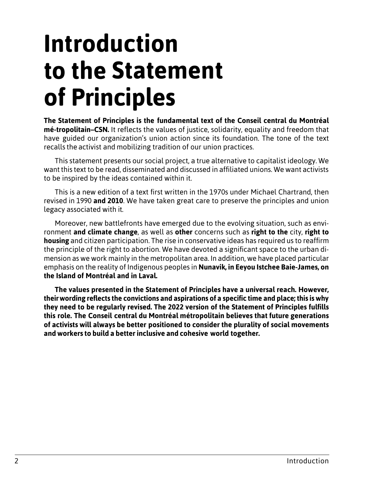### **Introduction to the Statement of Principles**

**The Statement of Principles is the fundamental text of the Conseil central du Montréal mé-tropolitain–CSN.** It reflects the values of justice, solidarity, equality and freedom that have guided our organization's union action since its foundation. The tone of the text recalls the activist and mobilizing tradition of our union practices.

This statement presents our social project, a true alternative to capitalist ideology. We want this text to be read, disseminated and discussed in affiliated unions. We want activists to be inspired by the ideas contained within it.

This is a new edition of a text first written in the 1970s under Michael Chartrand, then revised in 1990 **and 2010**. We have taken great care to preserve the principles and union legacy associated with it.

Moreover, new battlefronts have emerged due to the evolving situation, such as environment **and climate change**, as well as **other** concerns such as **right to the** city, **right to housing** and citizen participation. The rise in conservative ideas has required us to reaffirm the principle of the right to abortion. We have devoted a significant space to the urban dimension as we work mainly in the metropolitan area. In addition, we have placed particular emphasis on the reality of Indigenous peoples in **Nunavik, in Eeyou Istchee Baie-James, on the Island of Montréal and in Laval.**

**The values presented in the Statement of Principles have a universal reach. However, theirwording reflects the convictions and aspirations of a specific time and place; this is why they need to be regularly revised. The 2022 version of the Statement of Principles fulfills this role. The Conseil central du Montréal métropolitain believes that future generations of activists will always be better positioned to consider the plurality of social movements and workers to build a better inclusive and cohesive world together.**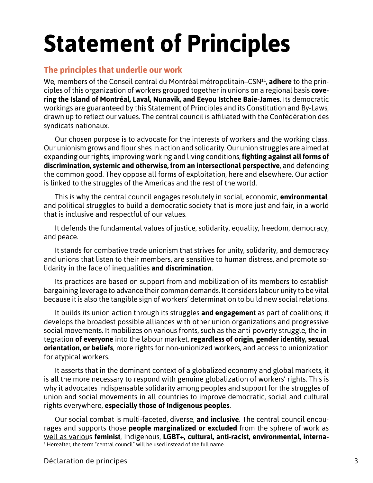### **Statement of Principles**

#### **The principles that underlie our work**

We, members of the Conseil central du Montréal métropolitain–CSN11, **adhere** to the principles of this organization of workers grouped together in unions on a regional basis **covering the Island of Montréal, Laval, Nunavik, and Eeyou Istchee Baie-James**. Its democratic workings are guaranteed by this Statement of Principles and its Constitution and By-Laws, drawn up to reflect our values. The central council is affiliated with the Confédération des syndicats nationaux.

Our chosen purpose is to advocate for the interests of workers and the working class. Our unionism grows and flourishes in action and solidarity. Our union struggles are aimed at expanding our rights, improving working and living conditions, **fighting against all forms of discrimination, systemic and otherwise, from an intersectional perspective**, and defending the common good. They oppose all forms of exploitation, here and elsewhere. Our action is linked to the struggles of the Americas and the rest of the world.

This is why the central council engages resolutely in social, economic, **environmental**, and political struggles to build a democratic society that is more just and fair, in a world that is inclusive and respectful of our values.

It defends the fundamental values of justice, solidarity, equality, freedom, democracy, and peace.

It stands for combative trade unionism that strives for unity, solidarity, and democracy and unions that listen to their members, are sensitive to human distress, and promote solidarity in the face of inequalities **and discrimination**.

Its practices are based on support from and mobilization of its members to establish bargaining leverage to advance their common demands. It considers labour unity to be vital because it is also the tangible sign of workers' determination to build new social relations.

It builds its union action through its struggles **and engagement** as part of coalitions; it develops the broadest possible alliances with other union organizations and progressive social movements. It mobilizes on various fronts, such as the anti-poverty struggle, the integration **of everyone** into the labour market, **regardless of origin, gender identity, sexual orientation, or beliefs**, more rights for non-unionized workers, and access to unionization for atypical workers.

It asserts that in the dominant context of a globalized economy and global markets, it is all the more necessary to respond with genuine globalization of workers' rights. This is why it advocates indispensable solidarity among peoples and support for the struggles of union and social movements in all countries to improve democratic, social and cultural rights everywhere, **especially those of Indigenous peoples**.

Our social combat is multi-faceted, diverse, **and inclusive**. The central council encourages and supports those **people marginalized or excluded** from the sphere of work as well as various **feminist**, Indigenous, **LGBT+, cultural, anti-racist, environmental, interna-**  $^{\rm 1}$  Hereafter, the term "central council" will be used instead of the full name.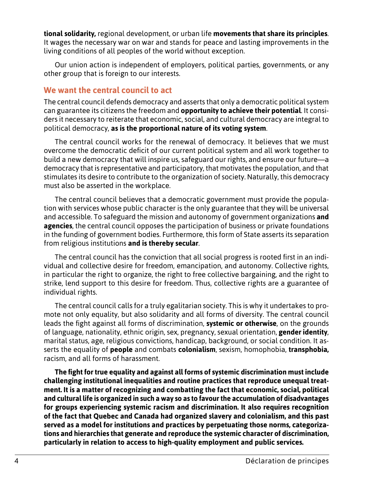**tional solidarity,** regional development, or urban life **movements that share its principles**. It wages the necessary war on war and stands for peace and lasting improvements in the living conditions of all peoples of the world without exception.

Our union action is independent of employers, political parties, governments, or any other group that is foreign to our interests.

#### **We want the central council to act**

The central council defends democracy and asserts that only a democratic political system can guarantee its citizens the freedom and **opportunity to achieve their potential**. It considers it necessary to reiterate that economic, social, and cultural democracy are integral to political democracy, **as is the proportional nature of its voting system**.

The central council works for the renewal of democracy. It believes that we must overcome the democratic deficit of our current political system and all work together to build a new democracy that will inspire us, safeguard our rights, and ensure our future—a democracy that is representative and participatory, that motivates the population, and that stimulates its desire to contribute to the organization of society. Naturally, this democracy must also be asserted in the workplace.

The central council believes that a democratic government must provide the population with services whose public character is the only guarantee that they will be universal and accessible. To safeguard the mission and autonomy of government organizations **and agencies**, the central council opposes the participation of business or private foundations in the funding of government bodies. Furthermore, this form of State asserts its separation from religious institutions **and is thereby secular**.

The central council has the conviction that all social progress is rooted first in an individual and collective desire for freedom, emancipation, and autonomy. Collective rights, in particular the right to organize, the right to free collective bargaining, and the right to strike, lend support to this desire for freedom. Thus, collective rights are a guarantee of individual rights.

The central council calls for a truly egalitarian society. This is why it undertakes to promote not only equality, but also solidarity and all forms of diversity. The central council leads the fight against all forms of discrimination, **systemic or otherwise**, on the grounds of language, nationality, ethnic origin, sex, pregnancy, sexual orientation, **gender identity**, marital status, age, religious convictions, handicap, background, or social condition. It asserts the equality of **people** and combats **colonialism**, sexism, homophobia, **transphobia,**  racism, and all forms of harassment.

**The fight for true equality and against all forms of systemic discrimination must include challenging institutional inequalities and routine practices that reproduce unequal treatment. It is a matter of recognizing and combatting the fact that economic, social, political and cultural life is organized in such a way so as to favour the accumulation of disadvantages for groups experiencing systemic racism and discrimination. It also requires recognition of the fact that Quebec and Canada had organized slavery and colonialism, and this past served as a model for institutions and practices by perpetuating those norms, categorizations and hierarchies that generate and reproduce the systemic character of discrimination, particularly in relation to access to high-quality employment and public services.**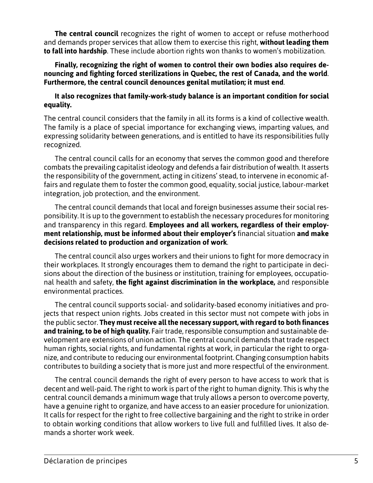**The central council** recognizes the right of women to accept or refuse motherhood and demands proper services that allow them to exercise this right, **without leading them to fall into hardship**. These include abortion rights won thanks to women's mobilization.

**Finally, recognizing the right of women to control their own bodies also requires denouncing and fighting forced sterilizations in Quebec, the rest of Canada, and the world**. **Furthermore, the central council denounces genital mutilation; it must end**.

#### **It also recognizes that family-work-study balance is an important condition for social equality.**

The central council considers that the family in all its forms is a kind of collective wealth. The family is a place of special importance for exchanging views, imparting values, and expressing solidarity between generations, and is entitled to have its responsibilities fully recognized.

The central council calls for an economy that serves the common good and therefore combats the prevailing capitalist ideology and defends a fair distribution of wealth. It asserts the responsibility of the government, acting in citizens' stead, to intervene in economic affairs and regulate them to foster the common good, equality, social justice, labour-market integration, job protection, and the environment.

The central council demands that local and foreign businesses assume their social responsibility. It is up to the government to establish the necessary procedures for monitoring and transparency in this regard. **Employees and all workers, regardless of their employment relationship, must be informed about their employer's** financial situation **and make decisions related to production and organization of work**.

The central council also urges workers and their unions to fight for more democracy in their workplaces. It strongly encourages them to demand the right to participate in decisions about the direction of the business or institution, training for employees, occupational health and safety, **the fight against discrimination in the workplace,** and responsible environmental practices.

The central council supports social- and solidarity-based economy initiatives and projects that respect union rights. Jobs created in this sector must not compete with jobs in the public sector. **They must receive all the necessary support, with regard to both finances and training, to be of high quality.** Fair trade, responsible consumption and sustainable development are extensions of union action. The central council demands that trade respect human rights, social rights, and fundamental rights at work, in particular the right to organize, and contribute to reducing our environmental footprint. Changing consumption habits contributes to building a society that is more just and more respectful of the environment.

The central council demands the right of every person to have access to work that is decent and well-paid. The right to work is part of the right to human dignity. This is why the central council demands a minimum wage that truly allows a person to overcome poverty, have a genuine right to organize, and have access to an easier procedure for unionization. It calls for respect for the right to free collective bargaining and the right to strike in order to obtain working conditions that allow workers to live full and fulfilled lives. It also demands a shorter work week.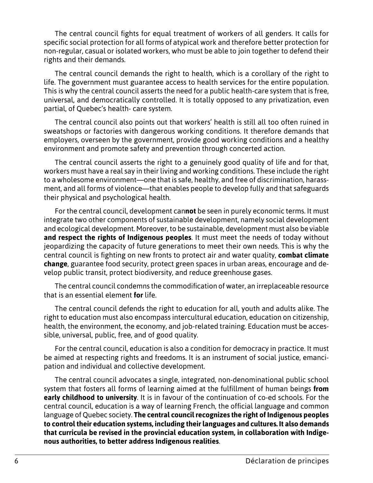The central council fights for equal treatment of workers of all genders. It calls for specific social protection for all forms of atypical work and therefore better protection for non-regular, casual or isolated workers, who must be able to join together to defend their rights and their demands.

The central council demands the right to health, which is a corollary of the right to life. The government must guarantee access to health services for the entire population. This is why the central council asserts the need for a public health-care system that is free, universal, and democratically controlled. It is totally opposed to any privatization, even partial, of Quebec's health- care system.

The central council also points out that workers' health is still all too often ruined in sweatshops or factories with dangerous working conditions. It therefore demands that employers, overseen by the government, provide good working conditions and a healthy environment and promote safety and prevention through concerted action.

The central council asserts the right to a genuinely good quality of life and for that, workers must have a real say in their living and working conditions. These include the right to a wholesome environment—one that is safe, healthy, and free of discrimination, harassment, and all forms of violence—that enables people to develop fully and that safeguards their physical and psychological health.

For the central council, development can**not** be seen in purely economic terms. It must integrate two other components of sustainable development, namely social development and ecological development. Moreover, to be sustainable, development must also be viable **and respect the rights of Indigenous peoples**. It must meet the needs of today without jeopardizing the capacity of future generations to meet their own needs. This is why the central council is fighting on new fronts to protect air and water quality, **combat climate change**, guarantee food security, protect green spaces in urban areas, encourage and develop public transit, protect biodiversity, and reduce greenhouse gases.

The central council condemns the commodification of water, an irreplaceable resource that is an essential element **for** life.

The central council defends the right to education for all, youth and adults alike. The right to education must also encompass intercultural education, education on citizenship, health, the environment, the economy, and job-related training. Education must be accessible, universal, public, free, and of good quality.

For the central council, education is also a condition for democracy in practice. It must be aimed at respecting rights and freedoms. It is an instrument of social justice, emancipation and individual and collective development.

The central council advocates a single, integrated, non-denominational public school system that fosters all forms of learning aimed at the fulfillment of human beings **from early childhood to university**. It is in favour of the continuation of co-ed schools. For the central council, education is a way of learning French, the official language and common language of Quebec society. **The central council recognizes the right of Indigenous peoples to control their education systems, including their languages and cultures. It also demands that curricula be revised in the provincial education system, in collaboration with Indigenous authorities, to better address Indigenous realities**.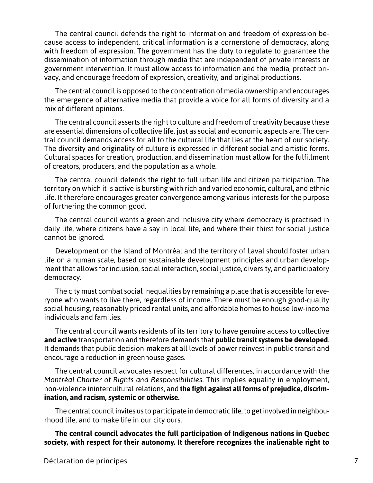The central council defends the right to information and freedom of expression because access to independent, critical information is a cornerstone of democracy, along with freedom of expression. The government has the duty to regulate to guarantee the dissemination of information through media that are independent of private interests or government intervention. It must allow access to information and the media, protect privacy, and encourage freedom of expression, creativity, and original productions.

The central council is opposed to the concentration of media ownership and encourages the emergence of alternative media that provide a voice for all forms of diversity and a mix of different opinions.

The central council asserts the right to culture and freedom of creativity because these are essential dimensions of collective life, just as social and economic aspects are. The central council demands access for all to the cultural life that lies at the heart of our society. The diversity and originality of culture is expressed in different social and artistic forms. Cultural spaces for creation, production, and dissemination must allow for the fulfillment of creators, producers, and the population as a whole.

The central council defends the right to full urban life and citizen participation. The territory on which it is active is bursting with rich and varied economic, cultural, and ethnic life. It therefore encourages greater convergence among various interests for the purpose of furthering the common good.

The central council wants a green and inclusive city where democracy is practised in daily life, where citizens have a say in local life, and where their thirst for social justice cannot be ignored.

Development on the Island of Montréal and the territory of Laval should foster urban life on a human scale, based on sustainable development principles and urban development that allows for inclusion, social interaction, social justice, diversity, and participatory democracy.

The city must combat social inequalities by remaining a place that is accessible for everyone who wants to live there, regardless of income. There must be enough good-quality social housing, reasonably priced rental units, and affordable homes to house low-income individuals and families.

The central council wants residents of its territory to have genuine access to collective **and active** transportation and therefore demands that **public transit systems be developed**. It demands that public decision-makers at all levels of power reinvest in public transit and encourage a reduction in greenhouse gases.

The central council advocates respect for cultural differences, in accordance with the *Montréal Charter of Rights and Responsibilities*. This implies equality in employment, non-violence inintercultural relations, and **the fight against all forms of prejudice, discrimination, and racism, systemic or otherwise.**

The central council invites us to participate in democratic life, to get involved in neighbourhood life, and to make life in our city ours.

**The central council advocates the full participation of Indigenous nations in Quebec society, with respect for their autonomy. It therefore recognizes the inalienable right to**